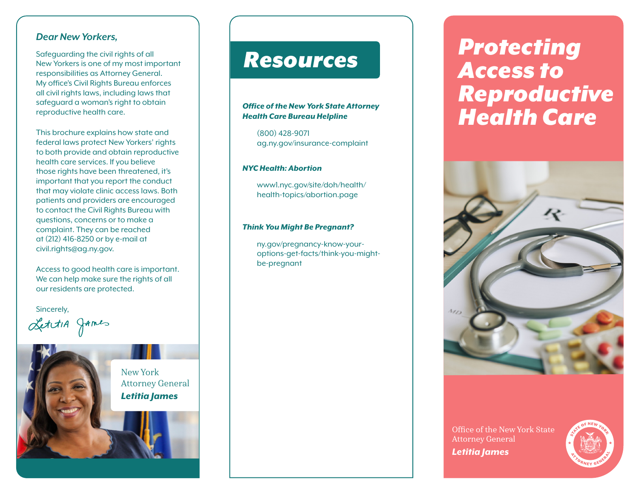#### *Dear New Yorkers,*

Safeguarding the civil rights of all New Yorkers is one of my most important responsibilities as Attorney General. My office's Civil Rights Bureau enforces all civil rights laws, including laws that safeguard a woman's right to obtain reproductive health care.

This brochure explains how state and federal laws protect New Yorkers' rights to both provide and obtain reproductive health care services. If you believe those rights have been threatened, it's important that you report the conduct that may violate clinic access laws. Both patients and providers are encouraged to contact the Civil Rights Bureau with questions, concerns or to make a complaint. They can be reached at (212) 416-8250 or by e-mail at civil.rights@ag.ny.gov.

Access to good health care is important. We can help make sure the rights of all our residents are protected.

Sincerely,

LettiA games

# *Health Care Bureau Helpline* (800) 428-9071 ag.ny.gov/insurance-complaint

#### *NYC Health: Abortion*

www1.nyc.gov/site/doh/health/ health-topics/abortion.page

*Office of the New York State Attorney* 

*Resources*

#### *Think You Might Be Pregnant?*

ny.gov/pregnancy-know-youroptions-get-facts/think-you-mightbe-pregnant

# *Protecting Access to Reproductive Health Care*



Office of the New York State Attorney General *Letitia James*